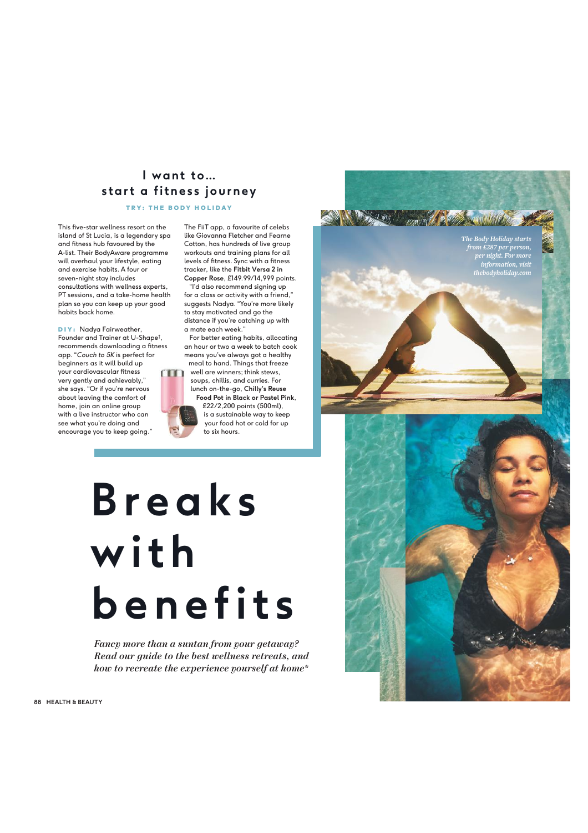### I want to... **start a fitness journey**

TRY: THE BODY HOLIDAY

This five-star wellness resort on the island of St Lucia, is a legendary spa and fitness hub favoured by the A-list. Their BodyAware programme will overhaul your lifestyle, eating and exercise habits. A four or seven-night stay includes consultations with wellness experts, PT sessions, and a take-home health plan so you can keep up your good habits back home.

DIY: Nadya Fairweather, Founder and Trainer at U-Shape † , recommends downloading a fitness app. "*Couch to 5K* is perfect for beginners as it will build up your cardiovascular fitness very gently and achievably," she says. "Or if you're nervous about leaving the comfort of home, join an online group with a live instructor who can see what you're doing and encourage you to keep going."

The FiiT app, a favourite of celebs like Giovanna Fletcher and Fearne Cotton, has hundreds of live group workouts and training plans for all levels of fitness. Sync with a fitness tracker, like the **Fitbit Versa 2 in Copper Rose**, £149.99/14,999 points.

"I'd also recommend signing up for a class or activity with a friend," suggests Nadya. "You're more likely to stay motivated and go the distance if you're catching up with a mate each week."

For better eating habits, allocating an hour or two a week to batch cook means you've always got a healthy meal to hand. Things that freeze



FIRST COMMUNIC

生命

well are winners; think stews, soups, chillis, and curries. For lunch on-the-go, **Chilly's Reuse Food Pot in Black or Pastel Pink**, £22/2,200 points (500ml), is a sustainable way to keep your food hot or cold for up to six hours.

## **B r e a k s w i t h benefits**

*Fancy more than a suntan from your getaway? Read our guide to the best wellness retreats, and how to recreate the experience yourself at home\**

**88 HEALTH & BEAUTY**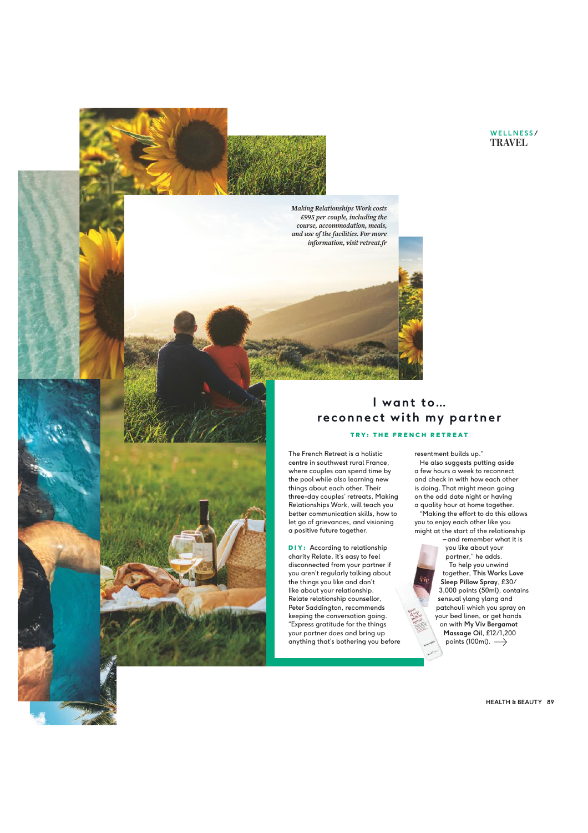#### **WELLNESS / TRAVEL**

*Making Relationships Work costs per couple including the course accommodation meals and use of the facilities For more information visit retreatfr*

#### **I want to… reconnect with my partner** TRY: THE FRENCH RETREAT

The French Retreat is a holistic centre in southwest rural France, where couples can spend time by the pool while also learning new things about each other. Their three-day couples' retreats, Making Relationships Work, will teach you better communication skills, how to let go of grievances, and visioning a positive future together.

**DIY:** According to relationship charity Relate, it's easy to feel disconnected from your partner if you aren't regularly talking about the things you like and don't like about your relationship. Relate relationship counsellor, Peter Saddington, recommends keeping the conversation going. "Express gratitude for the things your partner does and bring up anything that's bothering you before

resentment builds up." He also suggests putting aside a few hours a week to reconnect and check in with how each other is doing. That might mean going on the odd date night or having a quality hour at home together. "Making the effort to do this allows you to enjoy each other like you

might at the start of the relationship – and remember what it is you like about your partner," he adds. To help you unwind together, **This Works Love Sleep Pillow Spray**, £30/ 3,000 points (50ml), contains sensual ylang ylang and patchouli which you spray on your bed linen, or get hands on with **My Viv Bergamot Massage Oil**, £12/1,200

points (100ml).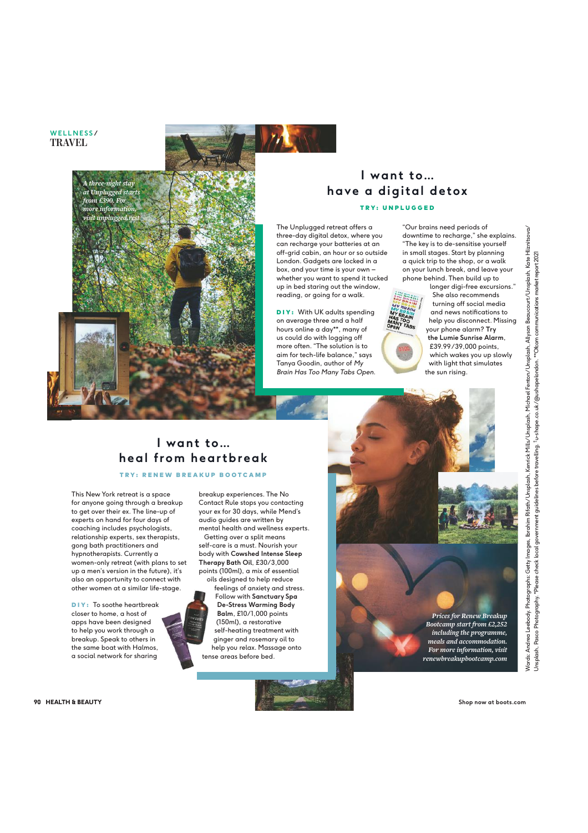**WELLNESS / TRAVEL**



#### I want to... **have a digital detox** TRY: UNPLUGGED

The Unplugged retreat offers a three-day digital detox, where you can recharge your batteries at an off-grid cabin, an hour or so outside London. Gadgets are locked in a box, and your time is your own – whether you want to spend it tucked up in bed staring out the window, reading, or going for a walk.

**DIY:** With UK adults spending on average three and a half hours online a day\*\*, many of us could do with logging off more often. "The solution is to aim for tech-life balance," says Tanya Goodin, author of *My Brain Has Too Many Tabs Open*.

"Our brains need periods of downtime to recharge," she explains. "The key is to de-sensitise yourself in small stages. Start by planning a quick trip to the shop, or a walk on your lunch break, and leave your phone behind. Then build up to



longer digi-free excursions." She also recommends turning off social media and news notifications to help you disconnect. Missing your phone alarm? **Try the Lumie Sunrise Alarm**, £39.99 /39,000 points, which wakes you up slowly with light that simulates the sun rising.

#### I want to... **heal from heartbreak**

TRY: RENEW BREAKUP BOOTCAMP

This New York retreat is a space for anyone going through a breakup to get over their ex. The line-up of experts on hand for four days of coaching includes psychologists, relationship experts, sex therapists, gong bath practitioners and hypnotherapists. Currently a women-only retreat (with plans to set up a men's version in the future), it's also an opportunity to connect with other women at a similar life-stage.

DIY: To soothe heartbreak closer to home, a host of apps have been designed to help you work through a breakup. Speak to others in the same boat with Halmos, a social network for sharing



Contact Rule stops you contacting your ex for 30 days, while Mend's audio guides are written by mental health and wellness experts. Getting over a split means self-care is a must. Nourish your

breakup experiences. The No

body with **Cowshed Intense Sleep Therapy Bath Oil**, £30/3,000 points (100ml), a mix of essential oils designed to help reduce

feelings of anxiety and stress. Follow with **Sanctuary Spa De-Stress Warming Body Balm**, £10/ 1,000 points (150ml), a restorative self-heating treatment with ginger and rosemary oil to help you relax. Massage onto tense areas before bed.

*Prices for Renew Breakup Bootcamp start from including the programme meals and accommodation For more information visit renewbreakupbootcampcom* 

Words: Andrea Leebody. Photographs: Getty Images, Ibrahim Rifath/Unsplash, Kenrick Mills/Unsplash, Michael Fenton/Unsplash, Allyson Beaucourt/Unsplash, Kate Hliznitsova/ Allyson Beaucourt/Unsplash, Kate Hliznitsova/ \*\*Ofcom communications market report 2021 Unsplash, Pasco Photography. \*Please check local government guidelines before travelling. †u-shape.co.uk/@ushapelondon. \*\*Ofcom communications market report 2021 Kenrick Mills/Unsplash, Michael Fenton/Unsplash, Unsplash, Pasco Photography. \*Please check local government guidelines before travelling. †u-shape.co.uk/@ushapelondon. Images, Ibrahim Rifath/Unsplash, Andrea Leebody. Photographs: Getty Words:

90 HEALTH & BEAUTY

Shop now at boots.com